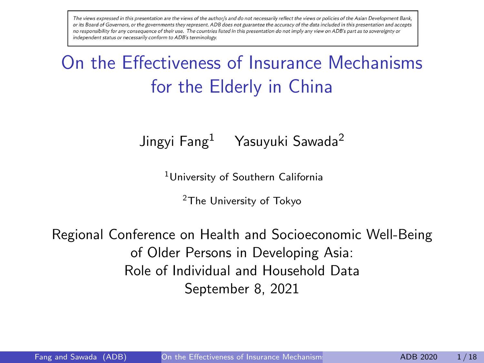<span id="page-0-0"></span>The views expressed in this presentation are the views of the author/s and do not necessarily reflect the views or policies of the Asian Development Bank, or its Board of Governors, or the governments they represent. ADB does not guarantee the accuracy of the data included in this presentation and accepts no responsibility for any consequence of their use. The countries listed in this presentation do not imply any view on ADB's part as to sovereignty or independent status or necessarily conform to ADB's terminology.

# On the Effectiveness of Insurance Mechanisms for the Elderly in China

Jingyi Fang<sup>1</sup> Yasuyuki Sawada<sup>2</sup>

<sup>1</sup>University of Southern California

<sup>2</sup>The University of Tokyo

Regional Conference on Health and Socioeconomic Well-Being of Older Persons in Developing Asia: Role of Individual and Household Data September 8, 2021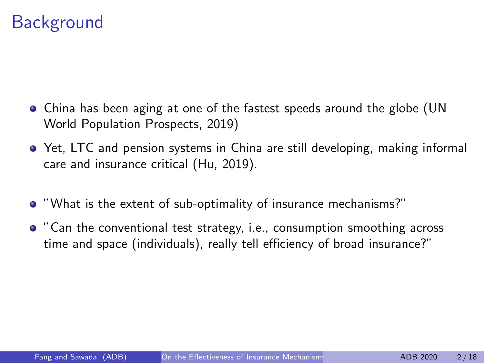### **Background**

- China has been aging at one of the fastest speeds around the globe (UN World Population Prospects, 2019)
- Yet, LTC and pension systems in China are still developing, making informal care and insurance critical (Hu, 2019).
- "What is the extent of sub-optimality of insurance mechanisms?"
- "Can the conventional test strategy, i.e., consumption smoothing across time and space (individuals), really tell efficiency of broad insurance?"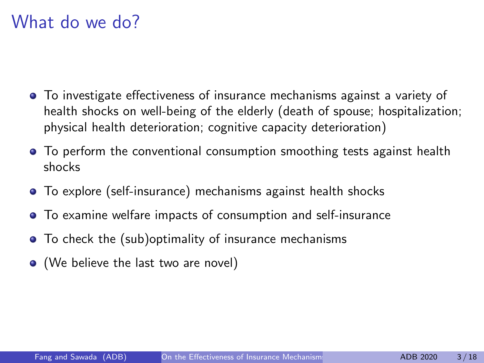### What do we do?

- To investigate effectiveness of insurance mechanisms against a variety of health shocks on well-being of the elderly (death of spouse; hospitalization; physical health deterioration; cognitive capacity deterioration)
- To perform the conventional consumption smoothing tests against health shocks
- To explore (self-insurance) mechanisms against health shocks
- To examine welfare impacts of consumption and self-insurance
- To check the (sub)optimality of insurance mechanisms
- (We believe the last two are novel)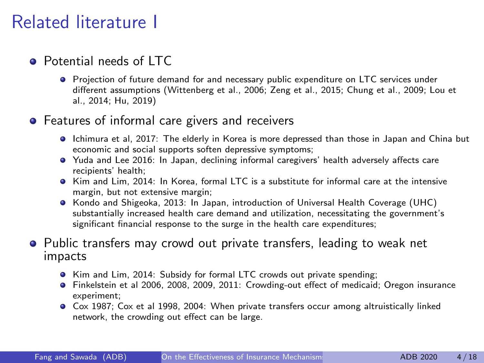## Related literature I

### **Potential needs of LTC**

Projection of future demand for and necessary public expenditure on LTC services under different assumptions (Wittenberg et al., 2006; Zeng et al., 2015; Chung et al., 2009; Lou et al., 2014; Hu, 2019)

### **•** Features of informal care givers and receivers

- Ichimura et al, 2017: The elderly in Korea is more depressed than those in Japan and China but economic and social supports soften depressive symptoms;
- Yuda and Lee 2016: In Japan, declining informal caregivers' health adversely affects care recipients' health;
- **•** Kim and Lim, 2014: In Korea, formal LTC is a substitute for informal care at the intensive margin, but not extensive margin;
- Kondo and Shigeoka, 2013: In Japan, introduction of Universal Health Coverage (UHC) substantially increased health care demand and utilization, necessitating the government's significant financial response to the surge in the health care expenditures;

### **•** Public transfers may crowd out private transfers, leading to weak net impacts

- Kim and Lim, 2014: Subsidy for formal LTC crowds out private spending;
- Finkelstein et al 2006, 2008, 2009, 2011: Crowding-out effect of medicaid; Oregon insurance experiment;
- Cox 1987; Cox et al 1998, 2004: When private transfers occur among altruistically linked network, the crowding out effect can be large.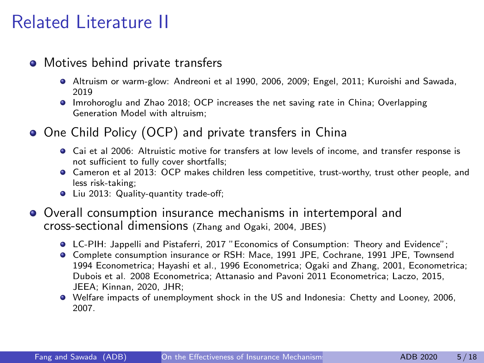## Related Literature II

### • Motives behind private transfers

- Altruism or warm-glow: Andreoni et al 1990, 2006, 2009; Engel, 2011; Kuroishi and Sawada, 2019
- Imrohoroglu and Zhao 2018; OCP increases the net saving rate in China; Overlapping Generation Model with altruism;
- One Child Policy (OCP) and private transfers in China
	- Cai et al 2006: Altruistic motive for transfers at low levels of income, and transfer response is not sufficient to fully cover shortfalls;
	- Cameron et al 2013: OCP makes children less competitive, trust-worthy, trust other people, and less risk-taking;
	- **•** Liu 2013: Quality-quantity trade-off;
- Overall consumption insurance mechanisms in intertemporal and cross-sectional dimensions (Zhang and Ogaki, 2004, JBES)
	- LC-PIH: Jappelli and Pistaferri, 2017 "Economics of Consumption: Theory and Evidence";
	- Complete consumption insurance or RSH: Mace, 1991 JPE, Cochrane, 1991 JPE, Townsend 1994 Econometrica; Hayashi et al., 1996 Econometrica; Ogaki and Zhang, 2001, Econometrica; Dubois et al. 2008 Econometrica; Attanasio and Pavoni 2011 Econometrica; Laczo, 2015, JEEA; Kinnan, 2020, JHR;
	- Welfare impacts of unemployment shock in the US and Indonesia: Chetty and Looney, 2006, 2007.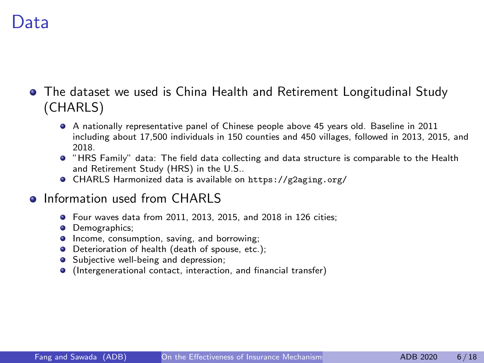### Data

The dataset we used is China Health and Retirement Longitudinal Study (CHARLS)

- A nationally representative panel of Chinese people above 45 years old. Baseline in 2011 including about 17,500 individuals in 150 counties and 450 villages, followed in 2013, 2015, and 2018.
- "HRS Family" data: The field data collecting and data structure is comparable to the Health and Retirement Study (HRS) in the U.S..
- CHARLS Harmonized data is available on <https://g2aging.org/>
- **o** Information used from CHARLS
	- Four waves data from 2011, 2013, 2015, and 2018 in 126 cities;
	- **·** Demographics:
	- **Income, consumption, saving, and borrowing:**
	- **O** Deterioration of health (death of spouse, etc.);
	- Subjective well-being and depression:
	- (Intergenerational contact, interaction, and financial transfer)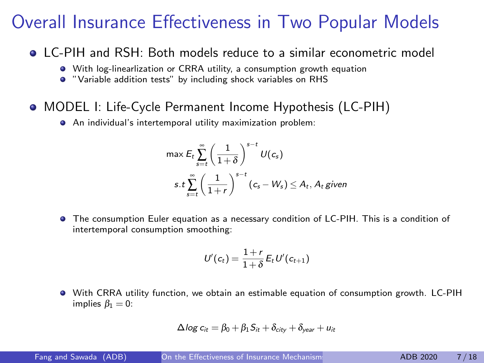### Overall Insurance Effectiveness in Two Popular Models

- LC-PIH and RSH: Both models reduce to a similar econometric model
	- With log-linearlization or CRRA utility, a consumption growth equation
	- "Variable addition tests" by including shock variables on RHS
- MODEL I: Life-Cycle Permanent Income Hypothesis (LC-PIH)
	- An individual's intertemporal utility maximization problem:

$$
\max \mathsf{E}_{t} \sum_{s=t}^{\infty} \left( \frac{1}{1+\delta} \right)^{s-t} U(c_{s})
$$
\n
$$
s.t \sum_{s=t}^{\infty} \left( \frac{1}{1+r} \right)^{s-t} (c_{s} - W_{s}) \leq A_{t}, A_{t} \text{ given}
$$

The consumption Euler equation as a necessary condition of LC-PIH. This is a condition of intertemporal consumption smoothing:

$$
U'(c_t) = \frac{1+r}{1+\delta} E_t U'(c_{t+1})
$$

With CRRA utility function, we obtain an estimable equation of consumption growth. LC-PIH implies  $\beta_1 = 0$ :

$$
\Delta \log c_{it} = \beta_0 + \beta_1 S_{it} + \delta_{city} + \delta_{year} + u_{it}
$$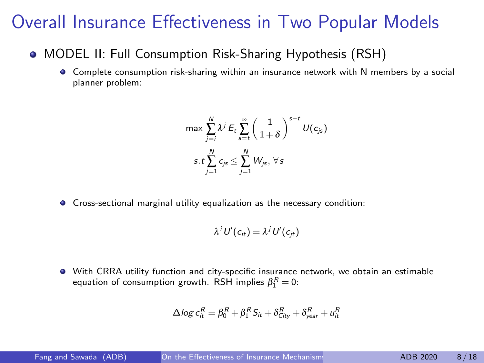### Overall Insurance Effectiveness in Two Popular Models

- MODEL II: Full Consumption Risk-Sharing Hypothesis (RSH)
	- Complete consumption risk-sharing within an insurance network with N members by a social planner problem:

$$
\max \sum_{j=i}^{N} \lambda^{j} E_{t} \sum_{s=t}^{\infty} \left(\frac{1}{1+\delta}\right)^{s-t} U(c_{js})
$$
  
s.t 
$$
\sum_{j=1}^{N} c_{js} \le \sum_{j=1}^{N} W_{js}, \forall s
$$

Cross-sectional marginal utility equalization as the necessary condition:

$$
\lambda^i U'(c_{it}) = \lambda^j U'(c_{jt})
$$

With CRRA utility function and city-specific insurance network, we obtain an estimable equation of consumption growth. RSH implies  $\beta_1^R=0$ :

$$
\Delta \log c_{it}^R = \beta_0^R + \beta_1^R S_{it} + \delta_{City}^R + \delta_{year}^R + u_{it}^R
$$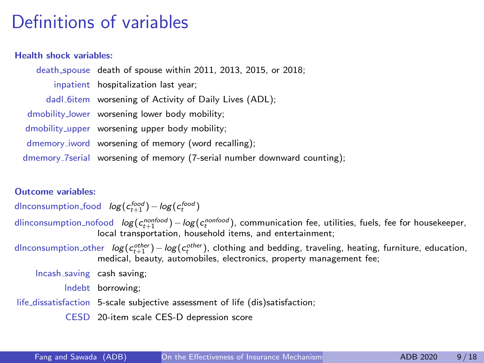## Definitions of variables

#### Health shock variables:

death spouse death of spouse within 2011, 2013, 2015, or 2018; inpatient hospitalization last year; dadl 6item worsening of Activity of Daily Lives (ADL): dmobility lower worsening lower body mobility; dmobility upper worsening upper body mobility; dmemory iword worsening of memory (word recalling); dmemory 7serial worsening of memory (7-serial number downward counting);

#### Outcome variables:

dlnconsumption<sub>-</sub>food  $log(c_{t+1}^{food}) - log(c_{t}^{food})$ 

- dlinconsumption<sub>-</sub>nofood  $log(c_{t+1}^{nonfood}) log(c_{t}^{nonfood})$ , communication fee, utilities, fuels, fee for housekeeper, local transportation, household items, and entertainment;
- dInconsumption\_other  $log(c_{t+1}^{other}) log(c_{t}^{other})$ , clothing and bedding, traveling, heating, furniture, education, medical, beauty, automobiles, electronics, property management fee;

lncash saving cash saving;

lndebt borrowing;

life dissatisfaction 5-scale subjective assessment of life (dis)satisfaction;

CESD 20-item scale CES-D depression score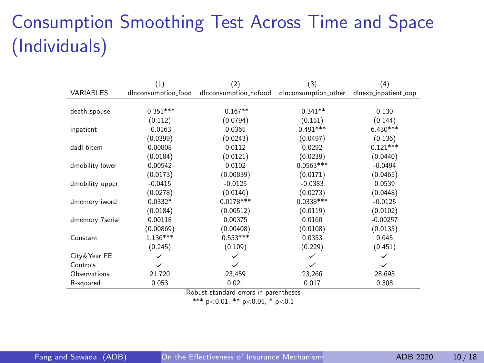# Consumption Smoothing Test Across Time and Space (Individuals)

|                 | (1)                       | (2)                   | (3)                  | (4)                  |  |
|-----------------|---------------------------|-----------------------|----------------------|----------------------|--|
| VARIABLES       | dlnconsumption_food       | dlnconsumption_nofood | dlnconsumption_other | dlnexp_inpatient_oop |  |
|                 |                           |                       |                      |                      |  |
| death_spouse    | $-0.351***$<br>$-0.167**$ |                       | $-0.341**$           | 0.130                |  |
|                 |                           |                       |                      |                      |  |
|                 | (0.112)                   | (0.0794)              | (0.151)              | (0.144)              |  |
| inpatient       | $-0.0163$                 | 0.0365                | $0.491***$           | $6.430***$           |  |
|                 | (0.0399)                  | (0.0243)              | (0.0497)             | (0.136)              |  |
| dadl_6item      | 0.00808                   | 0.0112                | 0.0292               | $0.121***$           |  |
|                 | (0.0184)                  | (0.0121)              | (0.0239)             | (0.0440)             |  |
| dmobility_lower | 0.00542                   | 0.0102                | $0.0563***$          | $-0.0494$            |  |
|                 | (0.0173)                  | (0.00839)             | (0.0171)             | (0.0465)             |  |
| dmobility_upper | $-0.0415$                 | $-0.0125$             | $-0.0383$            | 0.0539               |  |
|                 | (0.0278)                  | (0.0146)              | (0.0273)             | (0.0448)             |  |
| dmemory_iword   | $0.0332*$                 | $0.0178***$           | $0.0338***$          | $-0.0125$            |  |
|                 | (0.0184)                  | (0.00512)             | (0.0119)             | (0.0102)             |  |
| dmemory_7serial | 0.00118                   | 0.00375               | 0.0160               | $-0.00257$           |  |
|                 | (0.00869)                 | (0.00408)             | (0.0108)             | (0.0135)             |  |
| Constant        | $1.136***$                | $0.553***$            | 0.0353               | 0.645                |  |
|                 | (0.245)                   | (0.109)               | (0.229)              | (0.451)              |  |
| City&Year FE    |                           |                       |                      |                      |  |
| Controls        |                           |                       |                      |                      |  |
| Observations    | 21,720                    | 23,459                | 23,266               | 28,693               |  |
| R-squared       | 0.053                     | 0.021                 | 0.017                | 0.308                |  |

Robust standard errors in parentheses

\*\*\*  $p<0.01$ , \*\*  $p<0.05$ , \*  $p<0.1$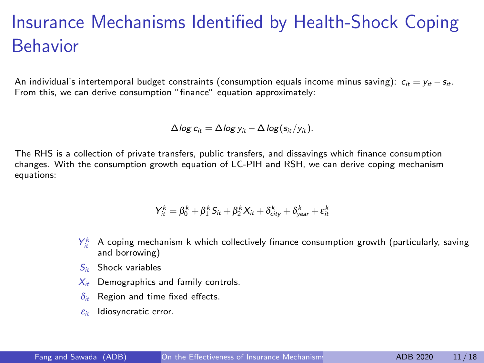## Insurance Mechanisms Identified by Health-Shock Coping Behavior

An individual's intertemporal budget constraints (consumption equals income minus saving):  $c_{it} = v_{it} - s_{it}$ . From this, we can derive consumption "finance" equation approximately:

$$
\Delta \log c_{it} = \Delta \log y_{it} - \Delta \log (s_{it}/y_{it}).
$$

The RHS is a collection of private transfers, public transfers, and dissavings which finance consumption changes. With the consumption growth equation of LC-PIH and RSH, we can derive coping mechanism equations:

$$
Y_{it}^k = \beta_0^k + \beta_1^k S_{it} + \beta_2^k X_{it} + \delta_{city}^k + \delta_{year}^k + \varepsilon_{it}^k
$$

- $Y_{it}^k$  A coping mechanism k which collectively finance consumption growth (particularly, saving and borrowing)
- $S_{ik}$  Shock variables
- $X_{it}$  Demographics and family controls.
- $\delta_{it}$  Region and time fixed effects.
- $\varepsilon_{it}$  Idiosyncratic error.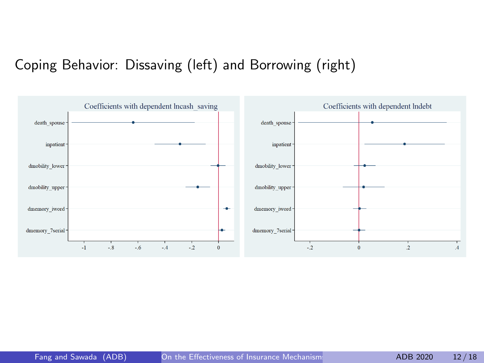### Coping Behavior: Dissaving (left) and Borrowing (right)

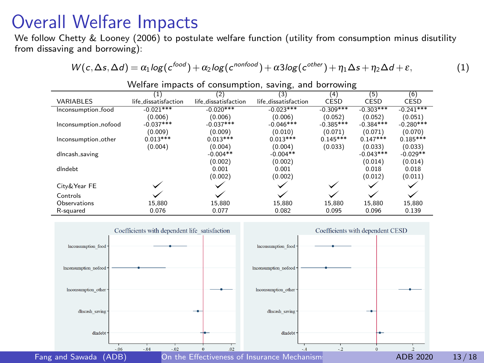### Overall Welfare Impacts

We follow Chetty & Looney (2006) to postulate welfare function (utility from consumption minus disutility from dissaving and borrowing):

$$
W(c,\Delta s,\Delta d)=\alpha_1 \log(c^{food})+\alpha_2 \log(c^{nonfood})+\alpha3 \log(c^{other})+\eta_1 \Delta s+\eta_2 \Delta d+\epsilon, \hspace{1.5cm} (1)
$$

|                      | $\overline{(1)}$     | (2)                  | (3)                  | (4)         | (5)         | (6)         |
|----------------------|----------------------|----------------------|----------------------|-------------|-------------|-------------|
| VARIABLES            | life_dissatisfaction | life_dissatisfaction | life_dissatisfaction | CESD        | CESD        | CESD        |
| Inconsumption food   | $-0.021***$          | $-0.020***$          | $-0.023***$          | $-0.309***$ | $-0.303***$ | $-0.241***$ |
|                      | (0.006)              | (0.006)              | (0.006)              | (0.052)     | (0.052)     | (0.051)     |
| Inconsumption_nofood | $-0.037***$          | $-0.037***$          | $-0.046***$          | $-0.385***$ | $-0.384***$ | $-0.280***$ |
|                      | (0.009)              | (0.009)              | (0.010)              | (0.071)     | (0.071)     | (0.070)     |
| Inconsumption other  | $0.013***$           | $0.013***$           | $0.013***$           | $0.145***$  | $0.147***$  | $0.185***$  |
|                      | (0.004)              | (0.004)              | (0.004)              | (0.033)     | (0.033)     | (0.033)     |
| dlncash_saving       |                      | $-0.004**$           | $-0.004**$           |             | $-0.043***$ | $-0.029**$  |
|                      |                      | (0.002)              | (0.002)              |             | (0.014)     | (0.014)     |
| dIndebt              |                      | 0.001                | 0.001                |             | 0.018       | 0.018       |
|                      |                      | (0.002)              | (0.002)              |             | (0.012)     | (0.011)     |
| City&Year FE         |                      |                      |                      |             |             |             |
| Controls             |                      |                      |                      |             |             |             |
| Observations         | 15.880               | 15.880               | 15.880               | 15.880      | 15.880      | 15.880      |
| R-squared            | 0.076                | 0.077                | 0.082                | 0.095       | 0.096       | 0.139       |

Welfare impacts of consumption, saving, and borrowing

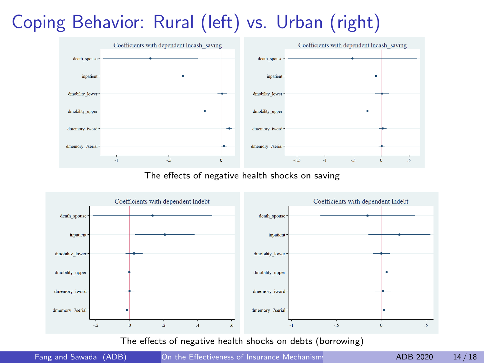# Coping Behavior: Rural (left) vs. Urban (right)



The effects of negative health shocks on saving



The effects of negative health shocks on debts (borrowing)

Fang and Sawada (ADB) On the Effectiveness of Insurance Mechanisms for the ADB 2020 14/18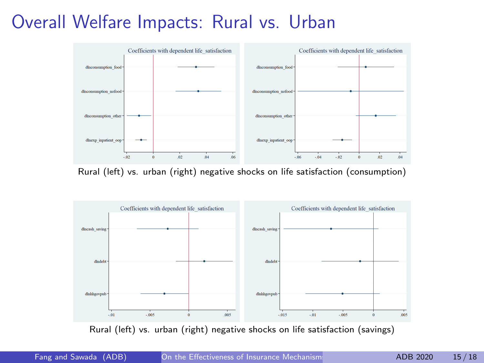## Overall Welfare Impacts: Rural vs. Urban



Rural (left) vs. urban (right) negative shocks on life satisfaction (consumption)



Rural (left) vs. urban (right) negative shocks on life satisfaction (savings)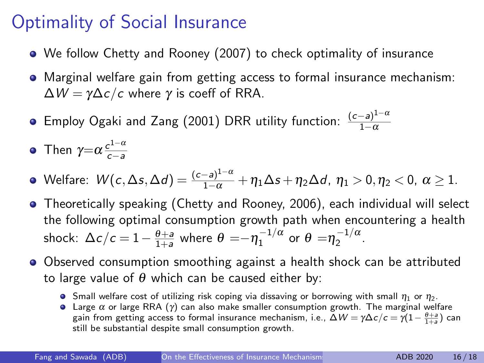## Optimality of Social Insurance

- We follow Chetty and Rooney (2007) to check optimality of insurance
- Marginal welfare gain from getting access to formal insurance mechanism:  $\Delta W = \gamma \Delta c/c$  where  $\gamma$  is coeff of RRA.
- Employ Ogaki and Zang (2001) DRR utility function:  $\frac{(c-a)^{1-\alpha}}{1-\alpha}$  $1-\alpha$

• Then 
$$
\gamma = \alpha \frac{c^{1-\alpha}}{c-a}
$$

- Welfare:  $W(c,\Delta s,\Delta d)=\frac{(c-a)^{1-\alpha}}{1-\alpha}+\eta_1\Delta s+\eta_2\Delta d$ ,  $\eta_1>0,\eta_2<0, \ \alpha\geq 1$ .
- Theoretically speaking (Chetty and Rooney, 2006), each individual will select the following optimal consumption growth path when encountering a health shock:  $\Delta c/c = 1 - \frac{\theta + a}{1 + a}$  where  $\theta = - \eta_1^{-1/\alpha}$  or  $\theta = \eta_2^{-1/\alpha}$ .
- Observed consumption smoothing against a health shock can be attributed to large value of  $\theta$  which can be caused either by:
	- **S** Small welfare cost of utilizing risk coping via dissaving or borrowing with small  $\eta_1$  or  $\eta_2$ .
	- **•** Large  $\alpha$  or large RRA (γ) can also make smaller consumption growth. The marginal welfare gain from getting access to formal insurance mechanism, i.e.,  $\bar \Delta W = \gamma \Delta c/c = \bar \gamma (1- \frac{\theta + a}{1+a})$  can still be substantial despite small consumption growth.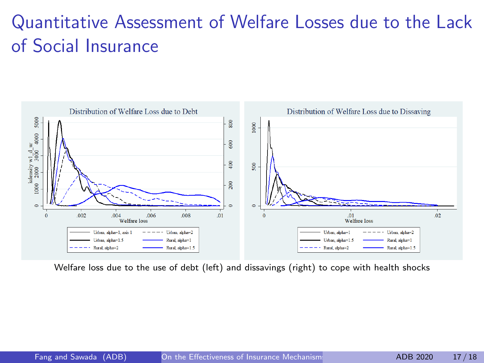# Quantitative Assessment of Welfare Losses due to the Lack of Social Insurance



Welfare loss due to the use of debt (left) and dissavings (right) to cope with health shocks